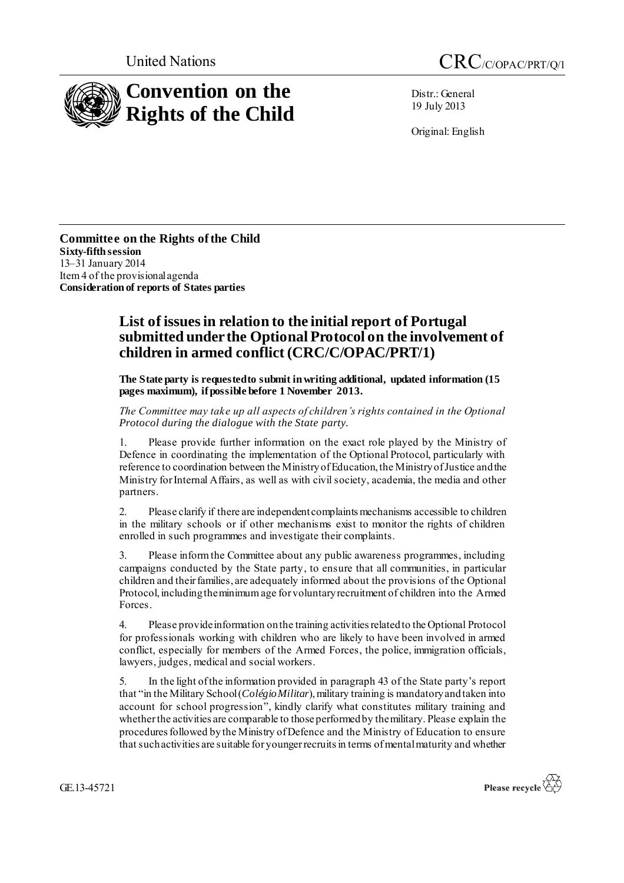

Distr.: General 19 July 2013

Original: English

**Committee on the Rights of the Child Sixty-fifthsession** 13–31 January 2014 Item 4 of the provisional agenda **Consideration of reports of States parties**

## **List of issues in relation to the initial report of Portugal submitted under the Optional Protocol on the involvement of children in armed conflict (CRC/C/OPAC/PRT/1)**

**The State party is requested to submit in writing additional, updated information (15 pages maximum), if possible before 1 November 2013.**

*The Committee may take up all aspects of children's rights contained in the Optional Protocol during the dialogue with the State party.*

1. Please provide further information on the exact role played by the Ministry of Defence in coordinating the implementation of the Optional Protocol, particularly with reference to coordination between the Ministry of Education, the Ministry of Justice and the Ministry for Internal Affairs, as well as with civil society, academia, the media and other partners.

2. Please clarify if there are independent complaints mechanisms accessible to children in the military schools or if other mechanisms exist to monitor the rights of children enrolled in such programmes and investigate their complaints.

3. Please inform the Committee about any public awareness programmes, including campaigns conducted by the State party, to ensure that all communities, in particular children and their families, are adequately informed about the provisions of the Optional Protocol, including the minimum age for voluntary recruitment of children into the Armed Forces.

4. Please provide information on the training activities related to the Optional Protocol for professionals working with children who are likely to have been involved in armed conflict, especially for members of the Armed Forces, the police, immigration officials, lawyers, judges, medical and social workers.

5. In the light of the information provided in paragraph 43 of the State party's report that "in the Military School (*Colégio Militar*), military training is mandatory and taken into account for school progression", kindly clarify what constitutes military training and whether the activities are comparable to those performed by the military. Please explain the procedures followed by the Ministry of Defence and the Ministry of Education to ensure that such activities are suitable for younger recruits in terms of mental maturity and whether

GE.13-45721